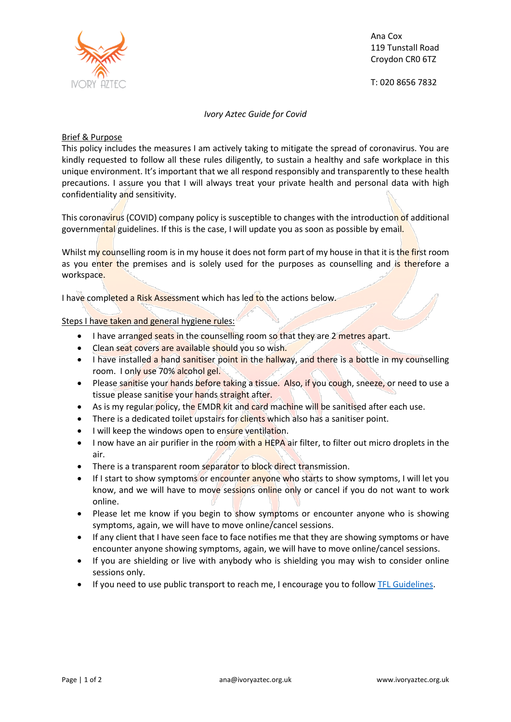

Ana Cox 119 Tunstall Road Croydon CR0 6TZ

T: 020 8656 7832

*Ivory Aztec Guide for Covid*

## Brief & Purpose

This policy includes the measures I am actively taking to mitigate the spread of coronavirus. You are kindly requested to follow all these rules diligently, to sustain a healthy and safe workplace in this unique environment. It's important that we all respond responsibly and transparently to these health precautions. I assure you that I will always treat your private health and personal data with high confidentiality and sensitivity.

This coronavirus (COVID) company policy is susceptible to changes with the introduction of additional governmental guidelines. If this is the case, I will update you as soon as possible by email.

Whilst my counselling room is in my house it does not form part of my house in that it is the first room as you enter the premises and is solely used for the purposes as counselling and is therefore a workspace.

I have completed a Risk Assessment which has led to the actions below.

Steps I have taken and general hygiene rules:

- I have arranged seats in the counselling room so that they are 2 metres apart.
- Clean seat covers are available should you so wish.
- I have installed a hand sanitiser point in the hallway, and there is a bottle in my counselling room. I only use 70% alcohol gel.
- Please sanitise your hands before taking a tissue. Also, if you cough, sneeze, or need to use a tissue please sanitise your hands straight after.
- As is my regular policy, the EMDR kit and card machine will be sanitised after each use.
- There is a dedicated toilet upstairs for clients which also has a sanitiser point.
- I will keep the windows open to ensure ventilation.
- I now have an air purifier in the room with a HEPA air filter, to filter out micro droplets in the air.
- There is a transparent room separator to block direct transmission.
- If I start to show symptoms or encounter anyone who starts to show symptoms, I will let you know, and we will have to move sessions online only or cancel if you do not want to work online.
- Please let me know if you begin to show symptoms or encounter anyone who is showing symptoms, again, we will have to move online/cancel sessions.
- If any client that I have seen face to face notifies me that they are showing symptoms or have encounter anyone showing symptoms, again, we will have to move online/cancel sessions.
- If you are shielding or live with anybody who is shielding you may wish to consider online sessions only.
- If you need to use public transport to reach me, I encourage you to follow [TFL Guidelines.](https://tfl.gov.uk/campaign/coronavirus-covid-)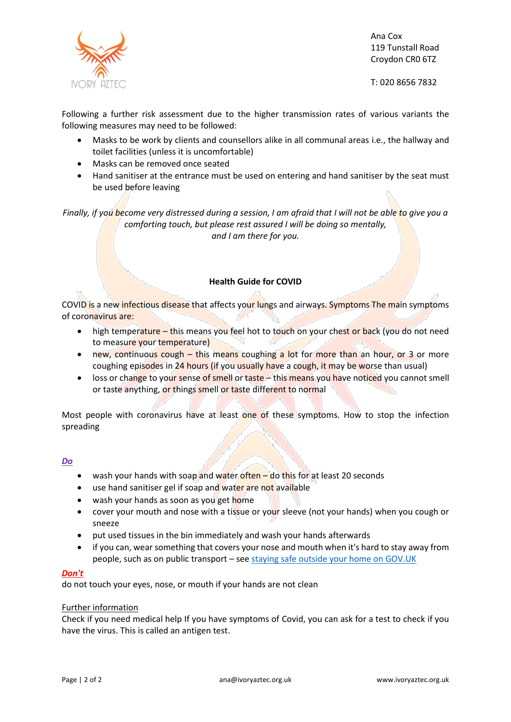

Ana Cox 119 Tunstall Road Croydon CR0 6TZ

T: 020 8656 7832

Following a further risk assessment due to the higher transmission rates of various variants the following measures may need to be followed:

- Masks to be work by clients and counsellors alike in all communal areas i.e., the hallway and toilet facilities (unless it is uncomfortable)
- Masks can be removed once seated
- Hand sanitiser at the entrance must be used on entering and hand sanitiser by the seat must be used before leaving

*Finally, if you become very distressed during a session, I am afraid that I will not be able to give you a comforting touch, but please rest assured I will be doing so mentally, and I am there for you.*

# **Health Guide for COVID**

COVID is a new infectious disease that affects your lungs and airways. Symptoms The main symptoms of coronavirus are:

- high temperature this means you feel hot to touch on your chest or back (you do not need to measure your temperature)
- new, continuous cough this means coughing a lot for more than an hour, or 3 or more coughing episodes in 24 hours (if you usually have a cough, it may be worse than usual)
- loss or change to your sense of smell or taste this means you have noticed you cannot smell or taste anything, or things smell or taste different to normal

Most people with coronavirus have at least one of these symptoms. How to stop the infection spreading

## *Do*

- wash your hands with soap and water often do this for at least 20 seconds
- use hand sanitiser gel if soap and water are not available
- wash your hands as soon as you get home
- cover your mouth and nose with a tissue or your sleeve (not your hands) when you cough or sneeze
- put used tissues in the bin immediately and wash your hands afterwards
- if you can, wear something that covers your nose and mouth when it's hard to stay away from people, such as on public transport – see [staying safe outside your home on GOV.UK](https://www.gov.uk/government/publications/staying-safe-outside-your-home/staying-safe-outside-your-home)

## *Don't*

do not touch your eyes, nose, or mouth if your hands are not clean

## Further information

Check if you need medical help If you have symptoms of Covid, you can ask for a test to check if you have the virus. This is called an antigen test.